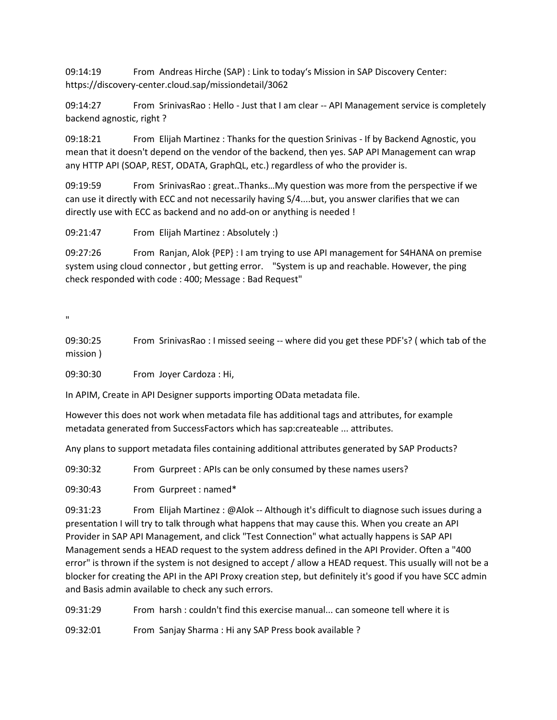09:14:19 From Andreas Hirche (SAP) : Link to today's Mission in SAP Discovery Center: https://discovery-center.cloud.sap/missiondetail/3062

09:14:27 From SrinivasRao : Hello - Just that I am clear -- API Management service is completely backend agnostic, right ?

09:18:21 From Elijah Martinez : Thanks for the question Srinivas - If by Backend Agnostic, you mean that it doesn't depend on the vendor of the backend, then yes. SAP API Management can wrap any HTTP API (SOAP, REST, ODATA, GraphQL, etc.) regardless of who the provider is.

09:19:59 From SrinivasRao : great..Thanks…My question was more from the perspective if we can use it directly with ECC and not necessarily having S/4....but, you answer clarifies that we can directly use with ECC as backend and no add-on or anything is needed !

09:21:47 From Elijah Martinez : Absolutely :)

09:27:26 From Ranjan, Alok {PEP} : I am trying to use API management for S4HANA on premise system using cloud connector , but getting error. "System is up and reachable. However, the ping check responded with code : 400; Message : Bad Request"

 $\bar{\mathbf{u}}$ 

09:30:25 From SrinivasRao : I missed seeing -- where did you get these PDF's? ( which tab of the mission )

09:30:30 From Joyer Cardoza : Hi,

In APIM, Create in API Designer supports importing OData metadata file.

However this does not work when metadata file has additional tags and attributes, for example metadata generated from SuccessFactors which has sap:createable ... attributes.

Any plans to support metadata files containing additional attributes generated by SAP Products?

09:30:32 From Gurpreet : APIs can be only consumed by these names users?

09:30:43 From Gurpreet : named\*

09:31:23 From Elijah Martinez : @Alok -- Although it's difficult to diagnose such issues during a presentation I will try to talk through what happens that may cause this. When you create an API Provider in SAP API Management, and click "Test Connection" what actually happens is SAP API Management sends a HEAD request to the system address defined in the API Provider. Often a "400 error" is thrown if the system is not designed to accept / allow a HEAD request. This usually will not be a blocker for creating the API in the API Proxy creation step, but definitely it's good if you have SCC admin and Basis admin available to check any such errors.

09:31:29 From harsh : couldn't find this exercise manual... can someone tell where it is

09:32:01 From Sanjay Sharma : Hi any SAP Press book available ?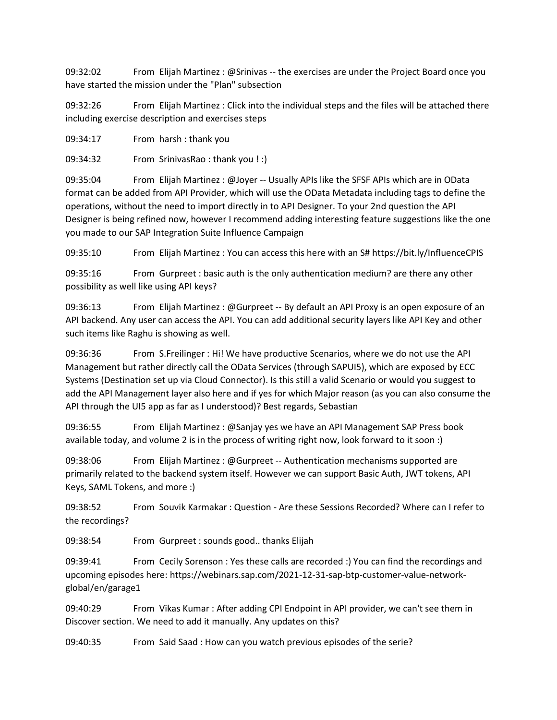09:32:02 From Elijah Martinez : @Srinivas -- the exercises are under the Project Board once you have started the mission under the "Plan" subsection

09:32:26 From Elijah Martinez : Click into the individual steps and the files will be attached there including exercise description and exercises steps

09:34:17 From harsh : thank you

09:34:32 From SrinivasRao : thank you ! :)

09:35:04 From Elijah Martinez : @Joyer -- Usually APIs like the SFSF APIs which are in OData format can be added from API Provider, which will use the OData Metadata including tags to define the operations, without the need to import directly in to API Designer. To your 2nd question the API Designer is being refined now, however I recommend adding interesting feature suggestions like the one you made to our SAP Integration Suite Influence Campaign

09:35:10 From Elijah Martinez : You can access this here with an S# https://bit.ly/InfluenceCPIS

09:35:16 From Gurpreet : basic auth is the only authentication medium? are there any other possibility as well like using API keys?

09:36:13 From Elijah Martinez : @Gurpreet -- By default an API Proxy is an open exposure of an API backend. Any user can access the API. You can add additional security layers like API Key and other such items like Raghu is showing as well.

09:36:36 From S.Freilinger : Hi! We have productive Scenarios, where we do not use the API Management but rather directly call the OData Services (through SAPUI5), which are exposed by ECC Systems (Destination set up via Cloud Connector). Is this still a valid Scenario or would you suggest to add the API Management layer also here and if yes for which Major reason (as you can also consume the API through the UI5 app as far as I understood)? Best regards, Sebastian

09:36:55 From Elijah Martinez : @Sanjay yes we have an API Management SAP Press book available today, and volume 2 is in the process of writing right now, look forward to it soon :)

09:38:06 From Elijah Martinez : @Gurpreet -- Authentication mechanisms supported are primarily related to the backend system itself. However we can support Basic Auth, JWT tokens, API Keys, SAML Tokens, and more :)

09:38:52 From Souvik Karmakar : Question - Are these Sessions Recorded? Where can I refer to the recordings?

09:38:54 From Gurpreet : sounds good.. thanks Elijah

09:39:41 From Cecily Sorenson : Yes these calls are recorded :) You can find the recordings and upcoming episodes here: https://webinars.sap.com/2021-12-31-sap-btp-customer-value-networkglobal/en/garage1

09:40:29 From Vikas Kumar : After adding CPI Endpoint in API provider, we can't see them in Discover section. We need to add it manually. Any updates on this?

09:40:35 From Said Saad : How can you watch previous episodes of the serie?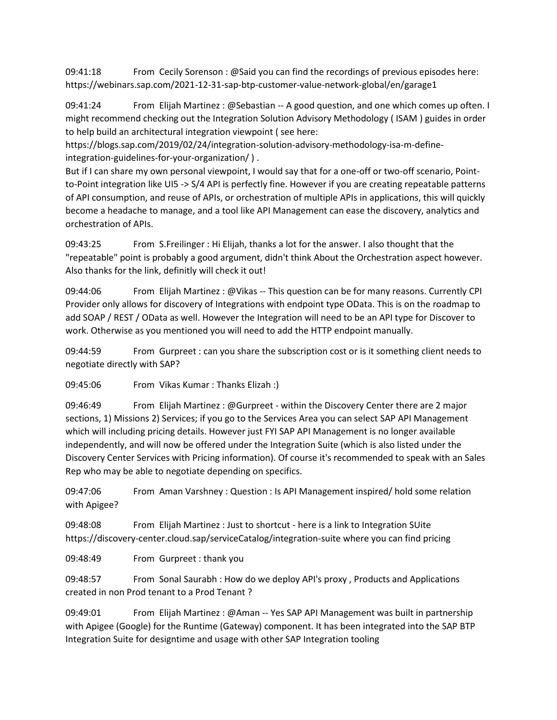09:41:18 From Cecily Sorenson : @Said you can find the recordings of previous episodes here: https://webinars.sap.com/2021-12-31-sap-btp-customer-value-network-global/en/garage1

09:41:24 From Elijah Martinez : @Sebastian -- A good question, and one which comes up often. I might recommend checking out the Integration Solution Advisory Methodology ( ISAM ) guides in order to help build an architectural integration viewpoint ( see here:

https://blogs.sap.com/2019/02/24/integration-solution-advisory-methodology-isa-m-defineintegration-guidelines-for-your-organization/ ) .

But if I can share my own personal viewpoint, I would say that for a one-off or two-off scenario, Pointto-Point integration like UI5 -> S/4 API is perfectly fine. However if you are creating repeatable patterns of API consumption, and reuse of APIs, or orchestration of multiple APIs in applications, this will quickly become a headache to manage, and a tool like API Management can ease the discovery, analytics and orchestration of APIs.

09:43:25 From S.Freilinger : Hi Elijah, thanks a lot for the answer. I also thought that the "repeatable" point is probably a good argument, didn't think About the Orchestration aspect however. Also thanks for the link, definitly will check it out!

09:44:06 From Elijah Martinez : @Vikas -- This question can be for many reasons. Currently CPI Provider only allows for discovery of Integrations with endpoint type OData. This is on the roadmap to add SOAP / REST / OData as well. However the Integration will need to be an API type for Discover to work. Otherwise as you mentioned you will need to add the HTTP endpoint manually.

09:44:59 From Gurpreet : can you share the subscription cost or is it something client needs to negotiate directly with SAP?

09:45:06 From Vikas Kumar : Thanks Elizah :)

09:46:49 From Elijah Martinez : @Gurpreet - within the Discovery Center there are 2 major sections, 1) Missions 2) Services; if you go to the Services Area you can select SAP API Management which will including pricing details. However just FYI SAP API Management is no longer available independently, and will now be offered under the Integration Suite (which is also listed under the Discovery Center Services with Pricing information). Of course it's recommended to speak with an Sales Rep who may be able to negotiate depending on specifics.

09:47:06 From Aman Varshney : Question : Is API Management inspired/ hold some relation with Apigee?

09:48:08 From Elijah Martinez : Just to shortcut - here is a link to Integration SUite https://discovery-center.cloud.sap/serviceCatalog/integration-suite where you can find pricing

09:48:49 From Gurpreet : thank you

09:48:57 From Sonal Saurabh : How do we deploy API's proxy , Products and Applications created in non Prod tenant to a Prod Tenant ?

09:49:01 From Elijah Martinez : @Aman -- Yes SAP API Management was built in partnership with Apigee (Google) for the Runtime (Gateway) component. It has been integrated into the SAP BTP Integration Suite for designtime and usage with other SAP Integration tooling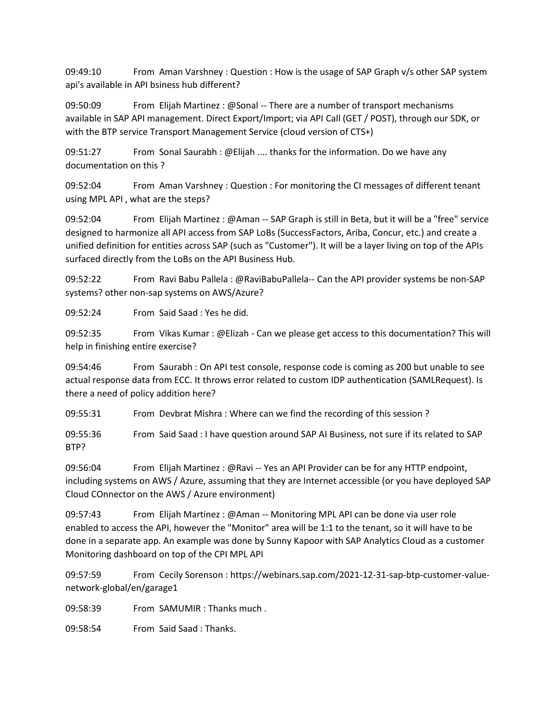09:49:10 From Aman Varshney : Question : How is the usage of SAP Graph v/s other SAP system api's available in API bsiness hub different?

09:50:09 From Elijah Martinez : @Sonal -- There are a number of transport mechanisms available in SAP API management. Direct Export/Import; via API Call (GET / POST), through our SDK, or with the BTP service Transport Management Service (cloud version of CTS+)

09:51:27 From Sonal Saurabh : @Elijah .... thanks for the information. Do we have any documentation on this ?

09:52:04 From Aman Varshney : Question : For monitoring the CI messages of different tenant using MPL API , what are the steps?

09:52:04 From Elijah Martinez : @Aman -- SAP Graph is still in Beta, but it will be a "free" service designed to harmonize all API access from SAP LoBs (SuccessFactors, Ariba, Concur, etc.) and create a unified definition for entities across SAP (such as "Customer"). It will be a layer living on top of the APIs surfaced directly from the LoBs on the API Business Hub.

09:52:22 From Ravi Babu Pallela : @RaviBabuPallela-- Can the API provider systems be non-SAP systems? other non-sap systems on AWS/Azure?

09:52:24 From Said Saad : Yes he did.

09:52:35 From Vikas Kumar : @Elizah - Can we please get access to this documentation? This will help in finishing entire exercise?

09:54:46 From Saurabh : On API test console, response code is coming as 200 but unable to see actual response data from ECC. It throws error related to custom IDP authentication (SAMLRequest). Is there a need of policy addition here?

09:55:31 From Devbrat Mishra : Where can we find the recording of this session ?

09:55:36 From Said Saad : I have question around SAP AI Business, not sure if its related to SAP BTP?

09:56:04 From Elijah Martinez : @Ravi -- Yes an API Provider can be for any HTTP endpoint, including systems on AWS / Azure, assuming that they are Internet accessible (or you have deployed SAP Cloud COnnector on the AWS / Azure environment)

09:57:43 From Elijah Martinez : @Aman -- Monitoring MPL API can be done via user role enabled to access the API, however the "Monitor" area will be 1:1 to the tenant, so it will have to be done in a separate app. An example was done by Sunny Kapoor with SAP Analytics Cloud as a customer Monitoring dashboard on top of the CPI MPL API

09:57:59 From Cecily Sorenson : https://webinars.sap.com/2021-12-31-sap-btp-customer-valuenetwork-global/en/garage1

09:58:39 From SAMUMIR : Thanks much .

09:58:54 From Said Saad : Thanks.